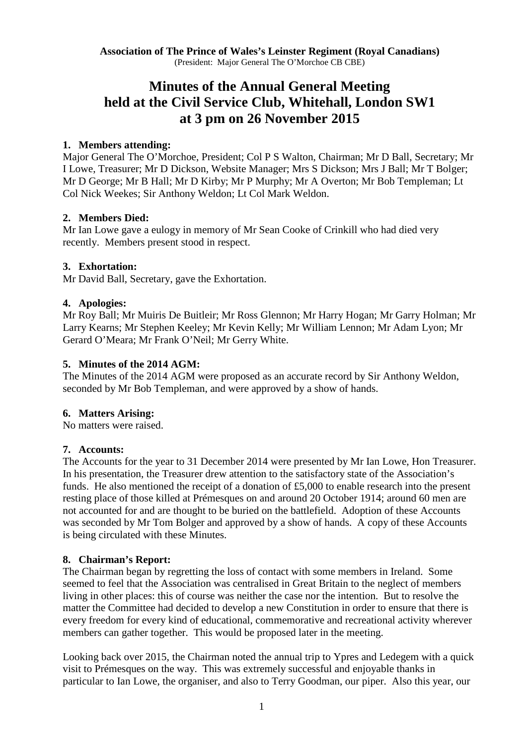**Association of The Prince of Wales's Leinster Regiment (Royal Canadians)** (President: Major General The O'Morchoe CB CBE)

# **Minutes of the Annual General Meeting held at the Civil Service Club, Whitehall, London SW1 at 3 pm on 26 November 2015**

#### **1. Members attending:**

Major General The O'Morchoe, President; Col P S Walton, Chairman; Mr D Ball, Secretary; Mr I Lowe, Treasurer; Mr D Dickson, Website Manager; Mrs S Dickson; Mrs J Ball; Mr T Bolger; Mr D George; Mr B Hall; Mr D Kirby; Mr P Murphy; Mr A Overton; Mr Bob Templeman; Lt Col Nick Weekes; Sir Anthony Weldon; Lt Col Mark Weldon.

## **2. Members Died:**

Mr Ian Lowe gave a eulogy in memory of Mr Sean Cooke of Crinkill who had died very recently. Members present stood in respect.

## **3. Exhortation:**

Mr David Ball, Secretary, gave the Exhortation.

## **4. Apologies:**

Mr Roy Ball; Mr Muiris De Buitleir; Mr Ross Glennon; Mr Harry Hogan; Mr Garry Holman; Mr Larry Kearns; Mr Stephen Keeley; Mr Kevin Kelly; Mr William Lennon; Mr Adam Lyon; Mr Gerard O'Meara; Mr Frank O'Neil; Mr Gerry White.

## **5. Minutes of the 2014 AGM:**

The Minutes of the 2014 AGM were proposed as an accurate record by Sir Anthony Weldon, seconded by Mr Bob Templeman, and were approved by a show of hands.

#### **6. Matters Arising:**

No matters were raised.

# **7. Accounts:**

The Accounts for the year to 31 December 2014 were presented by Mr Ian Lowe, Hon Treasurer. In his presentation, the Treasurer drew attention to the satisfactory state of the Association's funds. He also mentioned the receipt of a donation of £5,000 to enable research into the present resting place of those killed at Prémesques on and around 20 October 1914; around 60 men are not accounted for and are thought to be buried on the battlefield. Adoption of these Accounts was seconded by Mr Tom Bolger and approved by a show of hands. A copy of these Accounts is being circulated with these Minutes.

#### **8. Chairman's Report:**

The Chairman began by regretting the loss of contact with some members in Ireland. Some seemed to feel that the Association was centralised in Great Britain to the neglect of members living in other places: this of course was neither the case nor the intention. But to resolve the matter the Committee had decided to develop a new Constitution in order to ensure that there is every freedom for every kind of educational, commemorative and recreational activity wherever members can gather together. This would be proposed later in the meeting.

Looking back over 2015, the Chairman noted the annual trip to Ypres and Ledegem with a quick visit to Prémesques on the way. This was extremely successful and enjoyable thanks in particular to Ian Lowe, the organiser, and also to Terry Goodman, our piper. Also this year, our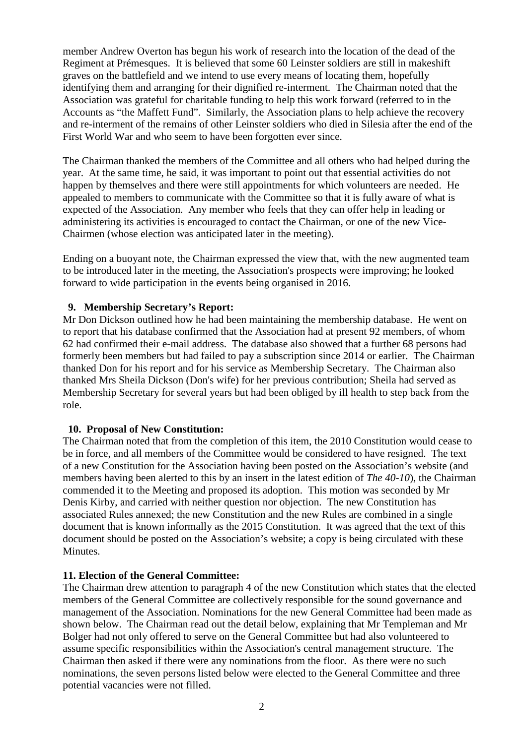member Andrew Overton has begun his work of research into the location of the dead of the Regiment at Prémesques. It is believed that some 60 Leinster soldiers are still in makeshift graves on the battlefield and we intend to use every means of locating them, hopefully identifying them and arranging for their dignified re-interment. The Chairman noted that the Association was grateful for charitable funding to help this work forward (referred to in the Accounts as "the Maffett Fund". Similarly, the Association plans to help achieve the recovery and re-interment of the remains of other Leinster soldiers who died in Silesia after the end of the First World War and who seem to have been forgotten ever since.

The Chairman thanked the members of the Committee and all others who had helped during the year. At the same time, he said, it was important to point out that essential activities do not happen by themselves and there were still appointments for which volunteers are needed. He appealed to members to communicate with the Committee so that it is fully aware of what is expected of the Association. Any member who feels that they can offer help in leading or administering its activities is encouraged to contact the Chairman, or one of the new Vice-Chairmen (whose election was anticipated later in the meeting).

Ending on a buoyant note, the Chairman expressed the view that, with the new augmented team to be introduced later in the meeting, the Association's prospects were improving; he looked forward to wide participation in the events being organised in 2016.

## **9. Membership Secretary's Report:**

Mr Don Dickson outlined how he had been maintaining the membership database. He went on to report that his database confirmed that the Association had at present 92 members, of whom 62 had confirmed their e-mail address. The database also showed that a further 68 persons had formerly been members but had failed to pay a subscription since 2014 or earlier. The Chairman thanked Don for his report and for his service as Membership Secretary. The Chairman also thanked Mrs Sheila Dickson (Don's wife) for her previous contribution; Sheila had served as Membership Secretary for several years but had been obliged by ill health to step back from the role.

#### **10. Proposal of New Constitution:**

The Chairman noted that from the completion of this item, the 2010 Constitution would cease to be in force, and all members of the Committee would be considered to have resigned. The text of a new Constitution for the Association having been posted on the Association's website (and members having been alerted to this by an insert in the latest edition of *The 40-10*), the Chairman commended it to the Meeting and proposed its adoption. This motion was seconded by Mr Denis Kirby, and carried with neither question nor objection. The new Constitution has associated Rules annexed; the new Constitution and the new Rules are combined in a single document that is known informally as the 2015 Constitution. It was agreed that the text of this document should be posted on the Association's website; a copy is being circulated with these **Minutes** 

# **11. Election of the General Committee:**

The Chairman drew attention to paragraph 4 of the new Constitution which states that the elected members of the General Committee are collectively responsible for the sound governance and management of the Association. Nominations for the new General Committee had been made as shown below. The Chairman read out the detail below, explaining that Mr Templeman and Mr Bolger had not only offered to serve on the General Committee but had also volunteered to assume specific responsibilities within the Association's central management structure. The Chairman then asked if there were any nominations from the floor. As there were no such nominations, the seven persons listed below were elected to the General Committee and three potential vacancies were not filled.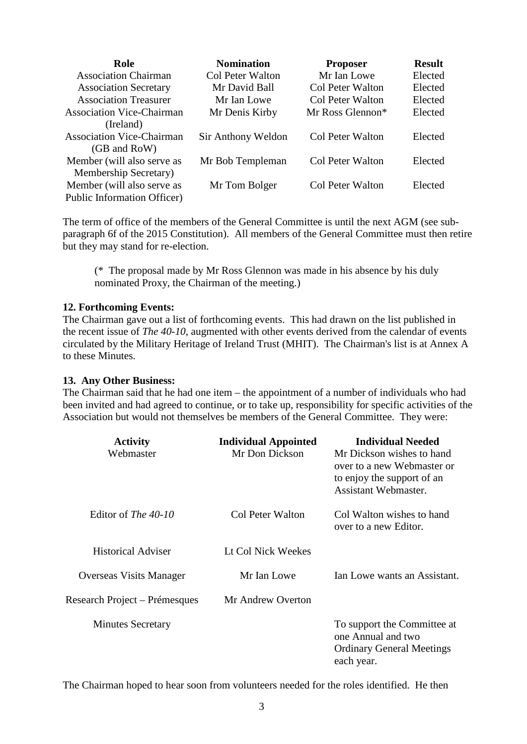| Role                               | <b>Nomination</b>  | <b>Proposer</b>  | <b>Result</b> |
|------------------------------------|--------------------|------------------|---------------|
| <b>Association Chairman</b>        | Col Peter Walton   | Mr Ian Lowe      | Elected       |
| <b>Association Secretary</b>       | Mr David Ball      | Col Peter Walton | Elected       |
| <b>Association Treasurer</b>       | Mr Ian Lowe        | Col Peter Walton | Elected       |
| <b>Association Vice-Chairman</b>   | Mr Denis Kirby     | Mr Ross Glennon* | Elected       |
| (Ireland)                          |                    |                  |               |
| <b>Association Vice-Chairman</b>   | Sir Anthony Weldon | Col Peter Walton | Elected       |
| (GB and RoW)                       |                    |                  |               |
| Member (will also serve as         | Mr Bob Templeman   | Col Peter Walton | Elected       |
| Membership Secretary)              |                    |                  |               |
| Member (will also serve as         | Mr Tom Bolger      | Col Peter Walton | Elected       |
| <b>Public Information Officer)</b> |                    |                  |               |

The term of office of the members of the General Committee is until the next AGM (see subparagraph 6f of the 2015 Constitution). All members of the General Committee must then retire but they may stand for re-election.

(\* The proposal made by Mr Ross Glennon was made in his absence by his duly nominated Proxy, the Chairman of the meeting.)

#### **12. Forthcoming Events:**

The Chairman gave out a list of forthcoming events. This had drawn on the list published in the recent issue of *The 40-10*, augmented with other events derived from the calendar of events circulated by the Military Heritage of Ireland Trust (MHIT). The Chairman's list is at Annex A to these Minutes.

#### **13. Any Other Business:**

The Chairman said that he had one item – the appointment of a number of individuals who had been invited and had agreed to continue, or to take up, responsibility for specific activities of the Association but would not themselves be members of the General Committee. They were:

| <b>Activity</b><br>Webmaster   | <b>Individual Appointed</b><br>Mr Don Dickson | <b>Individual Needed</b><br>Mr Dickson wishes to hand<br>over to a new Webmaster or<br>to enjoy the support of an<br><b>Assistant Webmaster.</b> |
|--------------------------------|-----------------------------------------------|--------------------------------------------------------------------------------------------------------------------------------------------------|
| Editor of <i>The 40-10</i>     | Col Peter Walton                              | Col Walton wishes to hand<br>over to a new Editor.                                                                                               |
| <b>Historical Adviser</b>      | Lt Col Nick Weekes                            |                                                                                                                                                  |
| <b>Overseas Visits Manager</b> | Mr Ian Lowe                                   | Ian Lowe wants an Assistant.                                                                                                                     |
| Research Project – Prémesques  | Mr Andrew Overton                             |                                                                                                                                                  |
| <b>Minutes Secretary</b>       |                                               | To support the Committee at<br>one Annual and two<br><b>Ordinary General Meetings</b><br>each year.                                              |

The Chairman hoped to hear soon from volunteers needed for the roles identified. He then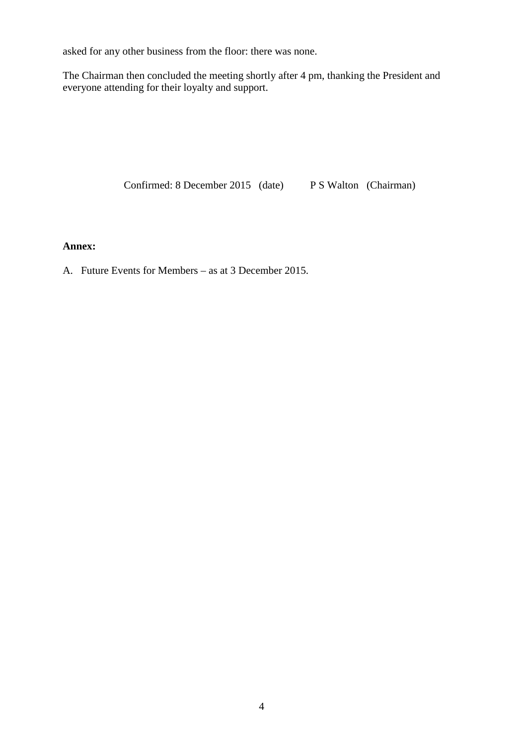asked for any other business from the floor: there was none.

The Chairman then concluded the meeting shortly after 4 pm, thanking the President and everyone attending for their loyalty and support.

Confirmed: 8 December 2015 (date) P S Walton (Chairman)

# **Annex:**

A. Future Events for Members – as at 3 December 2015.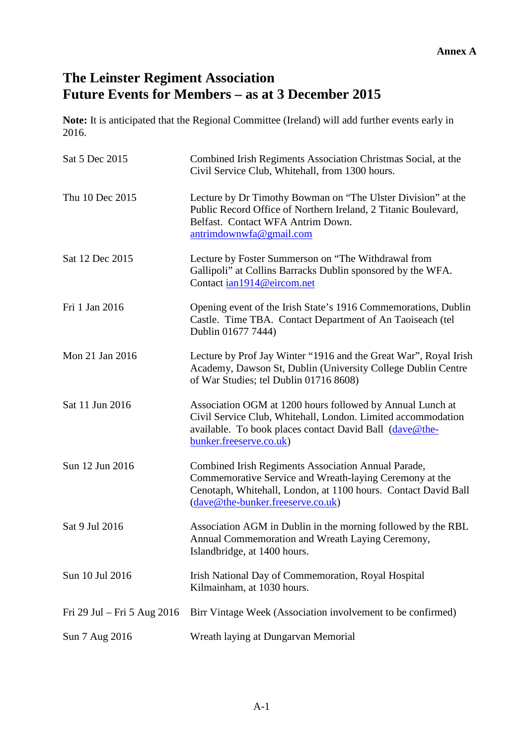# **The Leinster Regiment Association Future Events for Members – as at 3 December 2015**

**Note:** It is anticipated that the Regional Committee (Ireland) will add further events early in 2016.

| Sat 5 Dec 2015              | Combined Irish Regiments Association Christmas Social, at the<br>Civil Service Club, Whitehall, from 1300 hours.                                                                                                      |
|-----------------------------|-----------------------------------------------------------------------------------------------------------------------------------------------------------------------------------------------------------------------|
| Thu 10 Dec 2015             | Lecture by Dr Timothy Bowman on "The Ulster Division" at the<br>Public Record Office of Northern Ireland, 2 Titanic Boulevard,<br>Belfast. Contact WFA Antrim Down.<br>antrimdownwfa@gmail.com                        |
| Sat 12 Dec 2015             | Lecture by Foster Summerson on "The Withdrawal from<br>Gallipoli" at Collins Barracks Dublin sponsored by the WFA.<br>Contact ian1914@eircom.net                                                                      |
| Fri 1 Jan 2016              | Opening event of the Irish State's 1916 Commemorations, Dublin<br>Castle. Time TBA. Contact Department of An Taoiseach (tel<br>Dublin 01677 7444)                                                                     |
| Mon 21 Jan 2016             | Lecture by Prof Jay Winter "1916 and the Great War", Royal Irish<br>Academy, Dawson St, Dublin (University College Dublin Centre<br>of War Studies; tel Dublin 01716 8608)                                            |
| Sat 11 Jun 2016             | Association OGM at 1200 hours followed by Annual Lunch at<br>Civil Service Club, Whitehall, London. Limited accommodation<br>available. To book places contact David Ball (dave@the-<br>bunker.freeserve.co.uk)       |
| Sun 12 Jun 2016             | Combined Irish Regiments Association Annual Parade,<br>Commemorative Service and Wreath-laying Ceremony at the<br>Cenotaph, Whitehall, London, at 1100 hours. Contact David Ball<br>(dave@the-bunker.freeserve.co.uk) |
| Sat 9 Jul 2016              | Association AGM in Dublin in the morning followed by the RBL<br>Annual Commemoration and Wreath Laying Ceremony,<br>Islandbridge, at 1400 hours.                                                                      |
| Sun 10 Jul 2016             | Irish National Day of Commemoration, Royal Hospital<br>Kilmainham, at 1030 hours.                                                                                                                                     |
| Fri 29 Jul – Fri 5 Aug 2016 | Birr Vintage Week (Association involvement to be confirmed)                                                                                                                                                           |
| Sun 7 Aug 2016              | Wreath laying at Dungarvan Memorial                                                                                                                                                                                   |